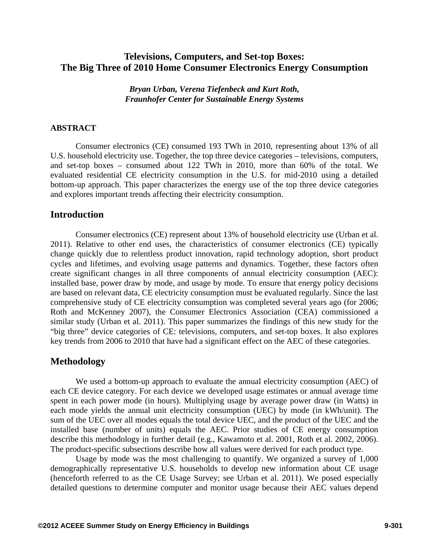# **Televisions, Computers, and Set-top Boxes: The Big Three of 2010 Home Consumer Electronics Energy Consumption**

*Bryan Urban, Verena Tiefenbeck and Kurt Roth, Fraunhofer Center for Sustainable Energy Systems* 

#### **ABSTRACT**

Consumer electronics (CE) consumed 193 TWh in 2010, representing about 13% of all U.S. household electricity use. Together, the top three device categories – televisions, computers, and set-top boxes – consumed about 122 TWh in 2010, more than 60% of the total. We evaluated residential CE electricity consumption in the U.S. for mid-2010 using a detailed bottom-up approach. This paper characterizes the energy use of the top three device categories and explores important trends affecting their electricity consumption.

#### **Introduction**

Consumer electronics (CE) represent about 13% of household electricity use (Urban et al. 2011). Relative to other end uses, the characteristics of consumer electronics (CE) typically change quickly due to relentless product innovation, rapid technology adoption, short product cycles and lifetimes, and evolving usage patterns and dynamics. Together, these factors often create significant changes in all three components of annual electricity consumption (AEC): installed base, power draw by mode, and usage by mode. To ensure that energy policy decisions are based on relevant data, CE electricity consumption must be evaluated regularly. Since the last comprehensive study of CE electricity consumption was completed several years ago (for 2006; Roth and McKenney 2007), the Consumer Electronics Association (CEA) commissioned a similar study (Urban et al. 2011). This paper summarizes the findings of this new study for the "big three" device categories of CE: televisions, computers, and set-top boxes. It also explores key trends from 2006 to 2010 that have had a significant effect on the AEC of these categories.

## **Methodology**

We used a bottom-up approach to evaluate the annual electricity consumption (AEC) of each CE device category. For each device we developed usage estimates or annual average time spent in each power mode (in hours). Multiplying usage by average power draw (in Watts) in each mode yields the annual unit electricity consumption (UEC) by mode (in kWh/unit). The sum of the UEC over all modes equals the total device UEC, and the product of the UEC and the installed base (number of units) equals the AEC. Prior studies of CE energy consumption describe this methodology in further detail (e.g., Kawamoto et al. 2001, Roth et al. 2002, 2006). The product-specific subsections describe how all values were derived for each product type.

Usage by mode was the most challenging to quantify. We organized a survey of 1,000 demographically representative U.S. households to develop new information about CE usage (henceforth referred to as the CE Usage Survey; see Urban et al. 2011). We posed especially detailed questions to determine computer and monitor usage because their AEC values depend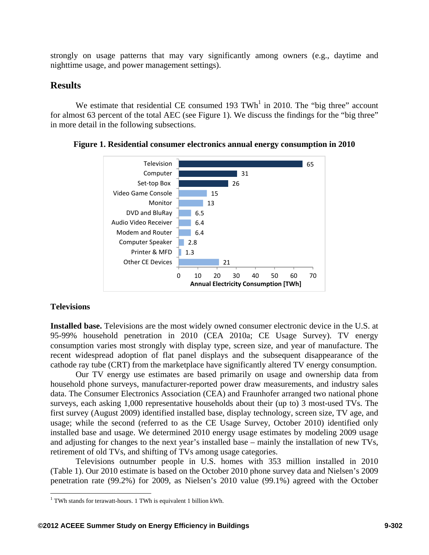strongly on usage patterns that may vary significantly among owners (e.g., daytime and nighttime usage, and power management settings).

# **Results**

We estimate that residential CE consumed 193 TWh<sup>1</sup> in 2010. The "big three" account for almost 63 percent of the total AEC (see Figure 1). We discuss the findings for the "big three" in more detail in the following subsections.





## **Televisions**

**Installed base.** Televisions are the most widely owned consumer electronic device in the U.S. at 95-99% household penetration in 2010 (CEA 2010a; CE Usage Survey). TV energy consumption varies most strongly with display type, screen size, and year of manufacture. The recent widespread adoption of flat panel displays and the subsequent disappearance of the cathode ray tube (CRT) from the marketplace have significantly altered TV energy consumption.

Our TV energy use estimates are based primarily on usage and ownership data from household phone surveys, manufacturer-reported power draw measurements, and industry sales data. The Consumer Electronics Association (CEA) and Fraunhofer arranged two national phone surveys, each asking 1,000 representative households about their (up to) 3 most-used TVs. The first survey (August 2009) identified installed base, display technology, screen size, TV age, and usage; while the second (referred to as the CE Usage Survey, October 2010) identified only installed base and usage. We determined 2010 energy usage estimates by modeling 2009 usage and adjusting for changes to the next year's installed base – mainly the installation of new TVs, retirement of old TVs, and shifting of TVs among usage categories.

Televisions outnumber people in U.S. homes with 353 million installed in 2010 (Table 1). Our 2010 estimate is based on the October 2010 phone survey data and Nielsen's 2009 penetration rate (99.2%) for 2009, as Nielsen's 2010 value (99.1%) agreed with the October

 $\overline{a}$ <sup>1</sup> TWh stands for terawatt-hours. 1 TWh is equivalent 1 billion kWh.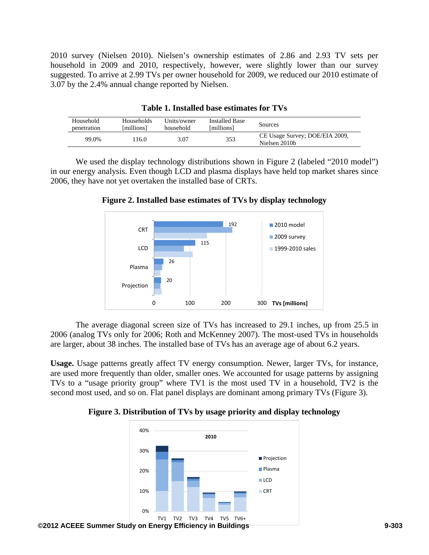2010 survey (Nielsen 2010). Nielsen's ownership estimates of 2.86 and 2.93 TV sets per household in 2009 and 2010, respectively, however, were slightly lower than our survey suggested. To arrive at 2.99 TVs per owner household for 2009, we reduced our 2010 estimate of 3.07 by the 2.4% annual change reported by Nielsen.

| Household<br><b>Installed Base</b><br>Units/owner<br>Households<br>Sources<br>[millions]<br>[millions]<br>household<br>penetration<br>CE Usage Survey; DOE/EIA 2009, |       |      |      |     |  |
|----------------------------------------------------------------------------------------------------------------------------------------------------------------------|-------|------|------|-----|--|
|                                                                                                                                                                      |       |      |      |     |  |
|                                                                                                                                                                      |       |      |      |     |  |
|                                                                                                                                                                      |       |      |      |     |  |
|                                                                                                                                                                      | 99.0% | 16.0 | 3.07 | 353 |  |

| Table 1. Installed base estimates for TVs |  |
|-------------------------------------------|--|
|-------------------------------------------|--|

We used the display technology distributions shown in Figure 2 (labeled "2010 model") in our energy analysis. Even though LCD and plasma displays have held top market shares since 2006, they have not yet overtaken the installed base of CRTs.





The average diagonal screen size of TVs has increased to 29.1 inches, up from 25.5 in 2006 (analog TVs only for 2006; Roth and McKenney 2007). The most-used TVs in households are larger, about 38 inches. The installed base of TVs has an average age of about 6.2 years.

**Usage.** Usage patterns greatly affect TV energy consumption. Newer, larger TVs, for instance, are used more frequently than older, smaller ones. We accounted for usage patterns by assigning TVs to a "usage priority group" where TV1 is the most used TV in a household, TV2 is the second most used, and so on. Flat panel displays are dominant among primary TVs (Figure 3).

**Figure 3. Distribution of TVs by usage priority and display technology** 

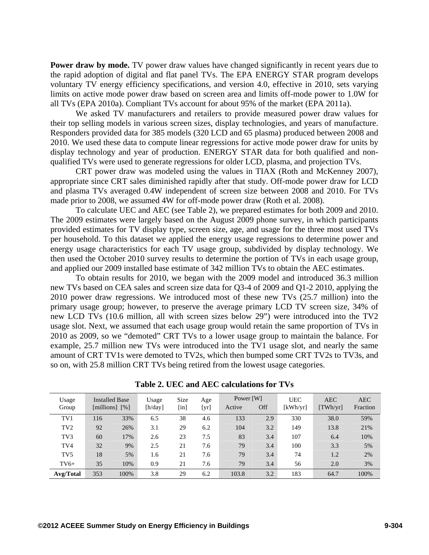**Power draw by mode.** TV power draw values have changed significantly in recent years due to the rapid adoption of digital and flat panel TVs. The EPA ENERGY STAR program develops voluntary TV energy efficiency specifications, and version 4.0, effective in 2010, sets varying limits on active mode power draw based on screen area and limits off-mode power to 1.0W for all TVs (EPA 2010a). Compliant TVs account for about 95% of the market (EPA 2011a).

We asked TV manufacturers and retailers to provide measured power draw values for their top selling models in various screen sizes, display technologies, and years of manufacture. Responders provided data for 385 models (320 LCD and 65 plasma) produced between 2008 and 2010. We used these data to compute linear regressions for active mode power draw for units by display technology and year of production. ENERGY STAR data for both qualified and nonqualified TVs were used to generate regressions for older LCD, plasma, and projection TVs.

CRT power draw was modeled using the values in TIAX (Roth and McKenney 2007), appropriate since CRT sales diminished rapidly after that study. Off-mode power draw for LCD and plasma TVs averaged 0.4W independent of screen size between 2008 and 2010. For TVs made prior to 2008, we assumed 4W for off-mode power draw (Roth et al. 2008).

To calculate UEC and AEC (see Table 2), we prepared estimates for both 2009 and 2010. The 2009 estimates were largely based on the August 2009 phone survey, in which participants provided estimates for TV display type, screen size, age, and usage for the three most used TVs per household. To this dataset we applied the energy usage regressions to determine power and energy usage characteristics for each TV usage group, subdivided by display technology. We then used the October 2010 survey results to determine the portion of TVs in each usage group, and applied our 2009 installed base estimate of 342 million TVs to obtain the AEC estimates.

To obtain results for 2010, we began with the 2009 model and introduced 36.3 million new TVs based on CEA sales and screen size data for Q3-4 of 2009 and Q1-2 2010, applying the 2010 power draw regressions. We introduced most of these new TVs (25.7 million) into the primary usage group; however, to preserve the average primary LCD TV screen size, 34% of new LCD TVs (10.6 million, all with screen sizes below 29") were introduced into the TV2 usage slot. Next, we assumed that each usage group would retain the same proportion of TVs in 2010 as 2009, so we "demoted" CRT TVs to a lower usage group to maintain the balance. For example, 25.7 million new TVs were introduced into the TV1 usage slot, and nearly the same amount of CRT TV1s were demoted to TV2s, which then bumped some CRT TV2s to TV3s, and so on, with 25.8 million CRT TVs being retired from the lowest usage categories.

| Usage<br>Group  |     | <b>Installed Base</b><br>[millions] $[\%]$ | Usage<br>[h/day] | <b>Size</b><br>$[$ in] | Age<br>[yr] | Power [W]<br>Active | Off | <b>UEC</b><br>[kWh/vr] | <b>AEC</b><br>[TWh/yr] | <b>AEC</b><br>Fraction |
|-----------------|-----|--------------------------------------------|------------------|------------------------|-------------|---------------------|-----|------------------------|------------------------|------------------------|
| TV1             | 116 | 33%                                        | 6.5              | 38                     | 4.6         | 133                 | 2.9 | 330                    | 38.0                   | 59%                    |
| TV <sub>2</sub> | 92  | 26%                                        | 3.1              | 29                     | 6.2         | 104                 | 3.2 | 149                    | 13.8                   | 21%                    |
| TV <sub>3</sub> | 60  | 17%                                        | 2.6              | 23                     | 7.5         | 83                  | 3.4 | 107                    | 6.4                    | 10%                    |
| TV4             | 32  | 9%                                         | 2.5              | 21                     | 7.6         | 79                  | 3.4 | 100                    | 3.3                    | 5%                     |
| TV <sub>5</sub> | 18  | 5%                                         | 1.6              | 21                     | 7.6         | 79                  | 3.4 | 74                     | 1.2                    | 2%                     |
| $TV6+$          | 35  | 10%                                        | 0.9              | 21                     | 7.6         | 79                  | 3.4 | 56                     | 2.0                    | 3%                     |
| Avg/Total       | 353 | 100%                                       | 3.8              | 29                     | 6.2         | 103.8               | 3.2 | 183                    | 64.7                   | 100%                   |

**Table 2. UEC and AEC calculations for TVs**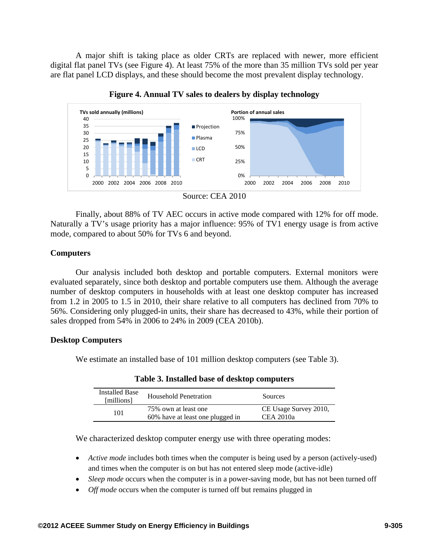A major shift is taking place as older CRTs are replaced with newer, more efficient digital flat panel TVs (see Figure 4). At least 75% of the more than 35 million TVs sold per year are flat panel LCD displays, and these should become the most prevalent display technology.



**Figure 4. Annual TV sales to dealers by display technology** 

Finally, about 88% of TV AEC occurs in active mode compared with 12% for off mode. Naturally a TV's usage priority has a major influence: 95% of TV1 energy usage is from active mode, compared to about 50% for TVs 6 and beyond.

## **Computers**

Our analysis included both desktop and portable computers. External monitors were evaluated separately, since both desktop and portable computers use them. Although the average number of desktop computers in households with at least one desktop computer has increased from 1.2 in 2005 to 1.5 in 2010, their share relative to all computers has declined from 70% to 56%. Considering only plugged-in units, their share has decreased to 43%, while their portion of sales dropped from 54% in 2006 to 24% in 2009 (CEA 2010b).

## **Desktop Computers**

We estimate an installed base of 101 million desktop computers (see Table 3).

| <b>Installed Base</b><br>[millions] | Household Penetration                                    | <b>Sources</b>                     |
|-------------------------------------|----------------------------------------------------------|------------------------------------|
| 101                                 | 75% own at least one<br>60% have at least one plugged in | CE Usage Survey 2010,<br>CEA 2010a |

**Table 3. Installed base of desktop computers** 

We characterized desktop computer energy use with three operating modes:

- *Active mode* includes both times when the computer is being used by a person (actively-used) and times when the computer is on but has not entered sleep mode (active-idle)
- *Sleep mode* occurs when the computer is in a power-saving mode, but has not been turned off
- *Off mode* occurs when the computer is turned off but remains plugged in

Source: CEA 2010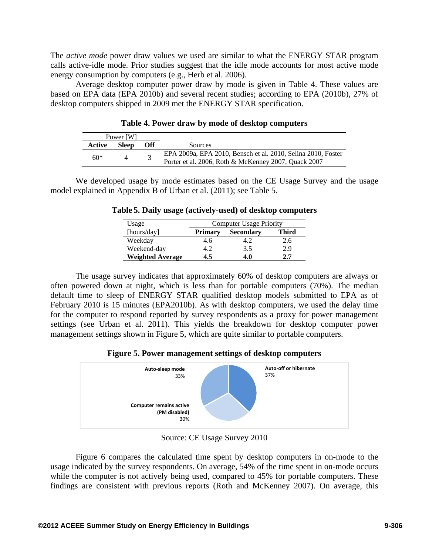The *active mode* power draw values we used are similar to what the ENERGY STAR program calls active-idle mode. Prior studies suggest that the idle mode accounts for most active mode energy consumption by computers (e.g., Herb et al. 2006).

Average desktop computer power draw by mode is given in Table 4. These values are based on EPA data (EPA 2010b) and several recent studies; according to EPA (2010b), 27% of desktop computers shipped in 2009 met the ENERGY STAR specification.

|        | Power [W]    |     |                                                                                                                      |
|--------|--------------|-----|----------------------------------------------------------------------------------------------------------------------|
| Active | <b>Sleep</b> | Off | Sources                                                                                                              |
| 60*    |              |     | EPA 2009a, EPA 2010, Bensch et al. 2010, Selina 2010, Foster<br>Porter et al. 2006, Roth & McKenney 2007, Quack 2007 |

**Table 4. Power draw by mode of desktop computers** 

We developed usage by mode estimates based on the CE Usage Survey and the usage model explained in Appendix B of Urban et al. (2011); see Table 5.

|  | Table 5. Daily usage (actively-used) of desktop computers |  |  |  |
|--|-----------------------------------------------------------|--|--|--|
|--|-----------------------------------------------------------|--|--|--|

| Usage                   | <b>Computer Usage Priority</b> |                  |              |
|-------------------------|--------------------------------|------------------|--------------|
| [hours/day]             | <b>Primary</b>                 | <b>Secondary</b> | <b>Third</b> |
| Weekday                 | 4.6                            |                  | 2.6          |
| Weekend-day             |                                | 3.5              | 2.9          |
| <b>Weighted Average</b> | $1.5^{\circ}$                  | 4.0              | 2.7          |

The usage survey indicates that approximately 60% of desktop computers are always or often powered down at night, which is less than for portable computers (70%). The median default time to sleep of ENERGY STAR qualified desktop models submitted to EPA as of February 2010 is 15 minutes (EPA2010b). As with desktop computers, we used the delay time for the computer to respond reported by survey respondents as a proxy for power management settings (see Urban et al. 2011). This yields the breakdown for desktop computer power management settings shown in Figure 5, which are quite similar to portable computers.

**Figure 5. Power management settings of desktop computers** 



Source: CE Usage Survey 2010

Figure 6 compares the calculated time spent by desktop computers in on-mode to the usage indicated by the survey respondents. On average, 54% of the time spent in on-mode occurs while the computer is not actively being used, compared to 45% for portable computers. These findings are consistent with previous reports (Roth and McKenney 2007). On average, this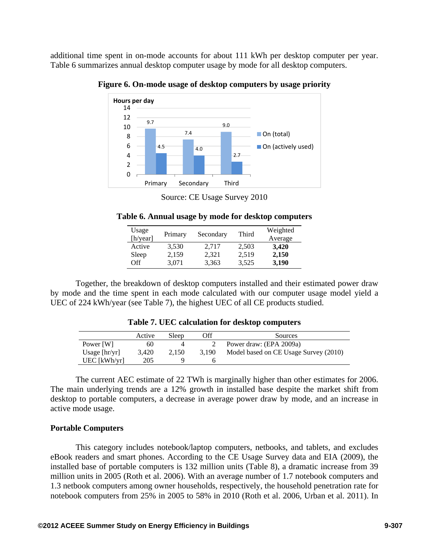additional time spent in on-mode accounts for about 111 kWh per desktop computer per year. Table 6 summarizes annual desktop computer usage by mode for all desktop computers.



**Figure 6. On-mode usage of desktop computers by usage priority** 

Source: CE Usage Survey 2010

| Table 6. Annual usage by mode for desktop computers |  |  |
|-----------------------------------------------------|--|--|
|                                                     |  |  |

| Usage<br>[h/year] | Primary | Secondary | Third | Weighted<br>Average |
|-------------------|---------|-----------|-------|---------------------|
| Active            | 3.530   | 2.717     | 2,503 | 3,420               |
| Sleep             | 2,159   | 2,321     | 2,519 | 2,150               |
| $\Omega$          | 3.071   | 3,363     | 3,525 | 3,190               |

Together, the breakdown of desktop computers installed and their estimated power draw by mode and the time spent in each mode calculated with our computer usage model yield a UEC of 224 kWh/year (see Table 7), the highest UEC of all CE products studied.

|                 | Active | Sleep | Эff   | Sources                               |
|-----------------|--------|-------|-------|---------------------------------------|
| Power [W]       | 60     |       |       | Power draw: (EPA 2009a)               |
| Usage $[hr/yr]$ | 3.420  | 2.150 | 3.190 | Model based on CE Usage Survey (2010) |
| $UEC$ [kWh/yr]  | 205    |       |       |                                       |

**Table 7. UEC calculation for desktop computers** 

The current AEC estimate of 22 TWh is marginally higher than other estimates for 2006. The main underlying trends are a 12% growth in installed base despite the market shift from desktop to portable computers, a decrease in average power draw by mode, and an increase in active mode usage.

## **Portable Computers**

This category includes notebook/laptop computers, netbooks, and tablets, and excludes eBook readers and smart phones. According to the CE Usage Survey data and EIA (2009), the installed base of portable computers is 132 million units (Table 8), a dramatic increase from 39 million units in 2005 (Roth et al. 2006). With an average number of 1.7 notebook computers and 1.3 netbook computers among owner households, respectively, the household penetration rate for notebook computers from 25% in 2005 to 58% in 2010 (Roth et al. 2006, Urban et al. 2011). In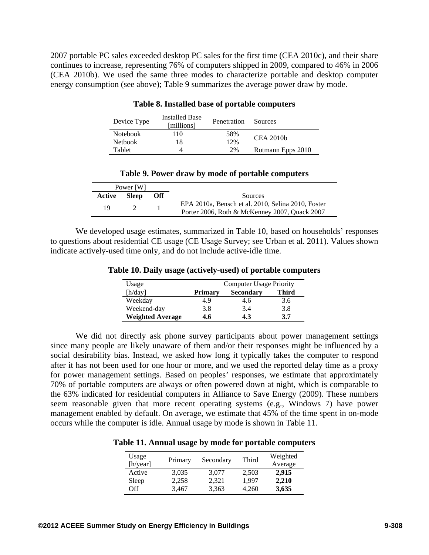2007 portable PC sales exceeded desktop PC sales for the first time (CEA 2010c), and their share continues to increase, representing 76% of computers shipped in 2009, compared to 46% in 2006 (CEA 2010b). We used the same three modes to characterize portable and desktop computer energy consumption (see above); Table 9 summarizes the average power draw by mode.

| Device Type     | <b>Installed Base</b><br>[millions] | Penetration | Sources           |
|-----------------|-------------------------------------|-------------|-------------------|
| <b>Notebook</b> | 110                                 | 58%         | CEA 2010b         |
| <b>Netbook</b>  | l8                                  | 12%         |                   |
| Tablet          |                                     | 2%          | Rotmann Epps 2010 |

**Table 8. Installed base of portable computers** 

| Table 9. Power draw by mode of portable computers |  |  |  |  |  |
|---------------------------------------------------|--|--|--|--|--|
|---------------------------------------------------|--|--|--|--|--|

|        | Power [W]    |     |                                                                                                     |
|--------|--------------|-----|-----------------------------------------------------------------------------------------------------|
| Active | <b>Sleep</b> | Off | Sources                                                                                             |
| 19     |              |     | EPA 2010a, Bensch et al. 2010, Selina 2010, Foster<br>Porter 2006, Roth & McKenney 2007, Quack 2007 |

We developed usage estimates, summarized in Table 10, based on households' responses to questions about residential CE usage (CE Usage Survey; see Urban et al. 2011). Values shown indicate actively-used time only, and do not include active-idle time.

| Usage                   | <b>Computer Usage Priority</b> |                  |              |  |  |  |  |
|-------------------------|--------------------------------|------------------|--------------|--|--|--|--|
| [h/day]                 | <b>Primary</b>                 | <b>Secondary</b> | <b>Third</b> |  |  |  |  |
| Weekday                 | 4.9                            | 4.6              | 3.6          |  |  |  |  |
| Weekend-day             | 3.8                            | 3.4              | 3.8          |  |  |  |  |
| <b>Weighted Average</b> | 4.6                            | 4.3              | 3.7          |  |  |  |  |

**Table 10. Daily usage (actively-used) of portable computers** 

We did not directly ask phone survey participants about power management settings since many people are likely unaware of them and/or their responses might be influenced by a social desirability bias. Instead, we asked how long it typically takes the computer to respond after it has not been used for one hour or more, and we used the reported delay time as a proxy for power management settings. Based on peoples' responses, we estimate that approximately 70% of portable computers are always or often powered down at night, which is comparable to the 63% indicated for residential computers in Alliance to Save Energy (2009). These numbers seem reasonable given that more recent operating systems (e.g., Windows 7) have power management enabled by default. On average, we estimate that 45% of the time spent in on-mode occurs while the computer is idle. Annual usage by mode is shown in Table 11.

| Table 11. Annual usage by mode for portable computers |  |  |  |  |
|-------------------------------------------------------|--|--|--|--|
|-------------------------------------------------------|--|--|--|--|

| Usage<br>[h/year] | Primary | Secondary | Third | Weighted<br>Average |
|-------------------|---------|-----------|-------|---------------------|
| Active            | 3.035   | 3.077     | 2,503 | 2,915               |
| Sleep             | 2,258   | 2,321     | 1.997 | 2,210               |
| Off               | 3,467   | 3,363     | 4,260 | 3,635               |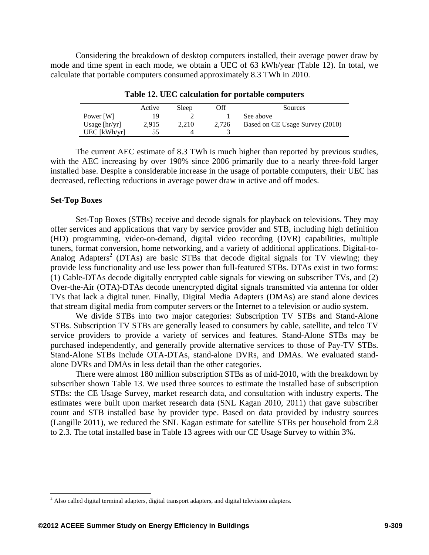Considering the breakdown of desktop computers installed, their average power draw by mode and time spent in each mode, we obtain a UEC of 63 kWh/year (Table 12). In total, we calculate that portable computers consumed approximately 8.3 TWh in 2010.

|                 | Active | Sleep | Эff   | Sources                         |
|-----------------|--------|-------|-------|---------------------------------|
| Power [W]       | 19     |       |       | See above                       |
| Usage $[hr/yr]$ | 2.915  | 2,210 | 2.726 | Based on CE Usage Survey (2010) |
| UEC [kWh/yr]    | 55     |       |       |                                 |

**Table 12. UEC calculation for portable computers** 

The current AEC estimate of 8.3 TWh is much higher than reported by previous studies, with the AEC increasing by over 190% since 2006 primarily due to a nearly three-fold larger installed base. Despite a considerable increase in the usage of portable computers, their UEC has decreased, reflecting reductions in average power draw in active and off modes.

#### **Set-Top Boxes**

 $\overline{a}$ 

Set-Top Boxes (STBs) receive and decode signals for playback on televisions. They may offer services and applications that vary by service provider and STB, including high definition (HD) programming, video-on-demand, digital video recording (DVR) capabilities, multiple tuners, format conversion, home networking, and a variety of additional applications. Digital-to-Analog Adapters<sup>2</sup> (DTAs) are basic STBs that decode digital signals for TV viewing; they provide less functionality and use less power than full-featured STBs. DTAs exist in two forms: (1) Cable-DTAs decode digitally encrypted cable signals for viewing on subscriber TVs, and (2) Over-the-Air (OTA)-DTAs decode unencrypted digital signals transmitted via antenna for older TVs that lack a digital tuner. Finally, Digital Media Adapters (DMAs) are stand alone devices that stream digital media from computer servers or the Internet to a television or audio system.

We divide STBs into two major categories: Subscription TV STBs and Stand-Alone STBs. Subscription TV STBs are generally leased to consumers by cable, satellite, and telco TV service providers to provide a variety of services and features. Stand-Alone STBs may be purchased independently, and generally provide alternative services to those of Pay-TV STBs. Stand-Alone STBs include OTA-DTAs, stand-alone DVRs, and DMAs. We evaluated standalone DVRs and DMAs in less detail than the other categories.

There were almost 180 million subscription STBs as of mid-2010, with the breakdown by subscriber shown Table 13. We used three sources to estimate the installed base of subscription STBs: the CE Usage Survey, market research data, and consultation with industry experts. The estimates were built upon market research data (SNL Kagan 2010, 2011) that gave subscriber count and STB installed base by provider type. Based on data provided by industry sources (Langille 2011), we reduced the SNL Kagan estimate for satellite STBs per household from 2.8 to 2.3. The total installed base in Table 13 agrees with our CE Usage Survey to within 3%.

 $2$  Also called digital terminal adapters, digital transport adapters, and digital television adapters.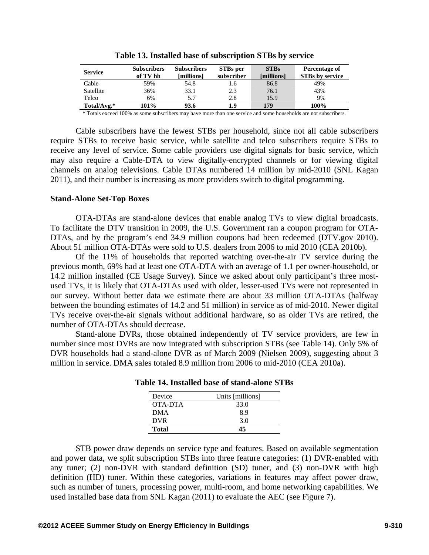| <b>Service</b> | <b>Subscribers</b><br>of TV hh | <b>Subscribers</b><br>[millions] | STBs per<br>subscriber | <b>STBs</b><br>[millions] | Percentage of<br><b>STBs by service</b> |
|----------------|--------------------------------|----------------------------------|------------------------|---------------------------|-----------------------------------------|
| Cable          | 59%                            | 54.8                             | 1.6                    | 86.8                      | 49%                                     |
| Satellite      | 36%                            | 33.1                             | 2.3                    | 76.1                      | 43%                                     |
| Telco          | 6%                             | 5.7                              | 2.8                    | 15.9                      | 9%                                      |
| Total/Avg.*    | 101%                           | 93.6                             | 1.9                    | 179                       | 100%                                    |

**Table 13. Installed base of subscription STBs by service** 

\* Totals exceed 100% as some subscribers may have more than one service and some households are not subscribers.

Cable subscribers have the fewest STBs per household, since not all cable subscribers require STBs to receive basic service, while satellite and telco subscribers require STBs to receive any level of service. Some cable providers use digital signals for basic service, which may also require a Cable-DTA to view digitally-encrypted channels or for viewing digital channels on analog televisions. Cable DTAs numbered 14 million by mid-2010 (SNL Kagan 2011), and their number is increasing as more providers switch to digital programming.

#### **Stand-Alone Set-Top Boxes**

OTA-DTAs are stand-alone devices that enable analog TVs to view digital broadcasts. To facilitate the DTV transition in 2009, the U.S. Government ran a coupon program for OTA-DTAs, and by the program's end 34.9 million coupons had been redeemed (DTV.gov 2010). About 51 million OTA-DTAs were sold to U.S. dealers from 2006 to mid 2010 (CEA 2010b).

Of the 11% of households that reported watching over-the-air TV service during the previous month, 69% had at least one OTA-DTA with an average of 1.1 per owner-household, or 14.2 million installed (CE Usage Survey). Since we asked about only participant's three mostused TVs, it is likely that OTA-DTAs used with older, lesser-used TVs were not represented in our survey. Without better data we estimate there are about 33 million OTA-DTAs (halfway between the bounding estimates of 14.2 and 51 million) in service as of mid-2010. Newer digital TVs receive over-the-air signals without additional hardware, so as older TVs are retired, the number of OTA-DTAs should decrease.

Stand-alone DVRs, those obtained independently of TV service providers, are few in number since most DVRs are now integrated with subscription STBs (see Table 14). Only 5% of DVR households had a stand-alone DVR as of March 2009 (Nielsen 2009), suggesting about 3 million in service. DMA sales totaled 8.9 million from 2006 to mid-2010 (CEA 2010a).

| Device       | Units [millions] |
|--------------|------------------|
| OTA-DTA      | 33.0             |
| <b>DMA</b>   | 8.9              |
| <b>DVR</b>   | 3.0              |
| <b>Total</b> |                  |

**Table 14. Installed base of stand-alone STBs** 

STB power draw depends on service type and features. Based on available segmentation and power data, we split subscription STBs into three feature categories: (1) DVR-enabled with any tuner; (2) non-DVR with standard definition (SD) tuner, and (3) non-DVR with high definition (HD) tuner. Within these categories, variations in features may affect power draw, such as number of tuners, processing power, multi-room, and home networking capabilities. We used installed base data from SNL Kagan (2011) to evaluate the AEC (see Figure 7).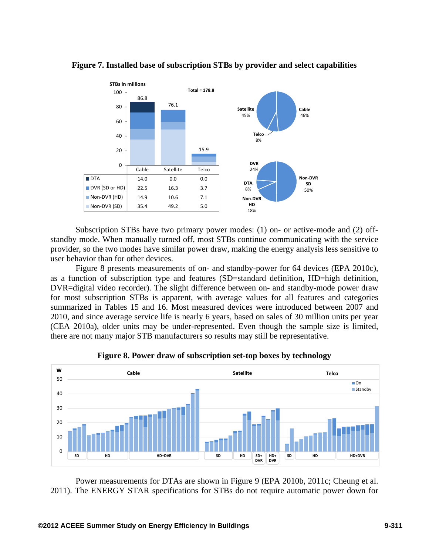

**Figure 7. Installed base of subscription STBs by provider and select capabilities**

Subscription STBs have two primary power modes: (1) on- or active-mode and (2) offstandby mode. When manually turned off, most STBs continue communicating with the service provider, so the two modes have similar power draw, making the energy analysis less sensitive to user behavior than for other devices.

Figure 8 presents measurements of on- and standby-power for 64 devices (EPA 2010c), as a function of subscription type and features (SD=standard definition, HD=high definition, DVR=digital video recorder). The slight difference between on- and standby-mode power draw for most subscription STBs is apparent, with average values for all features and categories summarized in Tables 15 and 16. Most measured devices were introduced between 2007 and 2010, and since average service life is nearly 6 years, based on sales of 30 million units per year (CEA 2010a), older units may be under-represented. Even though the sample size is limited, there are not many major STB manufacturers so results may still be representative.





Power measurements for DTAs are shown in Figure 9 (EPA 2010b, 2011c; Cheung et al. 2011). The ENERGY STAR specifications for STBs do not require automatic power down for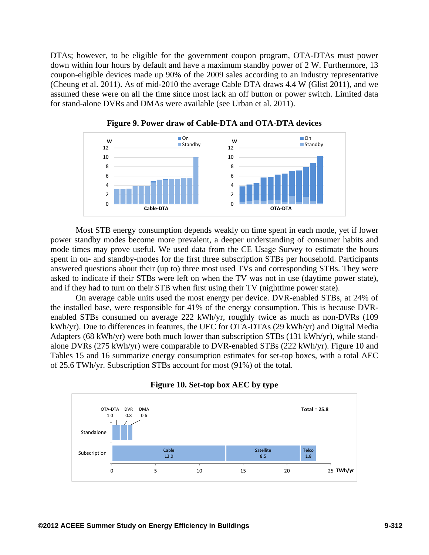DTAs; however, to be eligible for the government coupon program, OTA-DTAs must power down within four hours by default and have a maximum standby power of 2 W. Furthermore, 13 coupon-eligible devices made up 90% of the 2009 sales according to an industry representative (Cheung et al. 2011). As of mid-2010 the average Cable DTA draws 4.4 W (Glist 2011), and we assumed these were on all the time since most lack an off button or power switch. Limited data for stand-alone DVRs and DMAs were available (see Urban et al. 2011).



**Figure 9. Power draw of Cable-DTA and OTA-DTA devices** 

Most STB energy consumption depends weakly on time spent in each mode, yet if lower power standby modes become more prevalent, a deeper understanding of consumer habits and mode times may prove useful. We used data from the CE Usage Survey to estimate the hours spent in on- and standby-modes for the first three subscription STBs per household. Participants answered questions about their (up to) three most used TVs and corresponding STBs. They were asked to indicate if their STBs were left on when the TV was not in use (daytime power state), and if they had to turn on their STB when first using their TV (nighttime power state).

On average cable units used the most energy per device. DVR-enabled STBs, at 24% of the installed base, were responsible for 41% of the energy consumption. This is because DVRenabled STBs consumed on average 222 kWh/yr, roughly twice as much as non-DVRs (109 kWh/yr). Due to differences in features, the UEC for OTA-DTAs (29 kWh/yr) and Digital Media Adapters (68 kWh/yr) were both much lower than subscription STBs (131 kWh/yr), while standalone DVRs (275 kWh/yr) were comparable to DVR-enabled STBs (222 kWh/yr). Figure 10 and Tables 15 and 16 summarize energy consumption estimates for set-top boxes, with a total AEC of 25.6 TWh/yr. Subscription STBs account for most (91%) of the total.



**Figure 10. Set-top box AEC by type**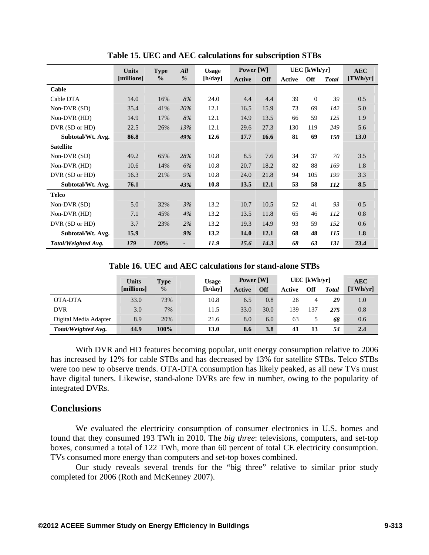|                     | <b>Units</b> | <b>Type</b>   | All           | <b>Usage</b> | Power [W]   |            |               | UEC [kWh/yr] |              | <b>AEC</b> |
|---------------------|--------------|---------------|---------------|--------------|-------------|------------|---------------|--------------|--------------|------------|
|                     | [millions]   | $\frac{0}{0}$ | $\frac{0}{0}$ | [h/day]      | Active      | <b>Off</b> | <b>Active</b> | <b>Off</b>   | <b>Total</b> | [TWh/yr]   |
| Cable               |              |               |               |              |             |            |               |              |              |            |
| Cable DTA           | 14.0         | 16%           | 8%            | 24.0         | 4.4         | 4.4        | 39            | $\Omega$     | 39           | 0.5        |
| Non-DVR (SD)        | 35.4         | 41%           | 20%           | 12.1         | 16.5        | 15.9       | 73            | 69           | 142          | 5.0        |
| Non-DVR (HD)        | 14.9         | 17%           | 8%            | 12.1         | 14.9        | 13.5       | 66            | 59           | 125          | 1.9        |
| DVR (SD or HD)      | 22.5         | 26%           | 13%           | 12.1         | 29.6        | 27.3       | 130           | 119          | 249          | 5.6        |
| Subtotal/Wt. Avg.   | 86.8         |               | 49%           | 12.6         | 17.7        | 16.6       | 81            | 69           | 150          | 13.0       |
| <b>Satellite</b>    |              |               |               |              |             |            |               |              |              |            |
| Non-DVR (SD)        | 49.2         | 65%           | 28%           | 10.8         | 8.5         | 7.6        | 34            | 37           | 70           | 3.5        |
| Non-DVR (HD)        | 10.6         | 14%           | 6%            | 10.8         | 20.7        | 18.2       | 82            | 88           | 169          | 1.8        |
| DVR (SD or HD)      | 16.3         | 21%           | 9%            | 10.8         | 24.0        | 21.8       | 94            | 105          | 199          | 3.3        |
| Subtotal/Wt. Avg.   | 76.1         |               | 43%           | 10.8         | 13.5        | 12.1       | 53            | 58           | 112          | 8.5        |
| <b>Telco</b>        |              |               |               |              |             |            |               |              |              |            |
| Non-DVR (SD)        | 5.0          | 32%           | 3%            | 13.2         | 10.7        | 10.5       | 52            | 41           | 93           | 0.5        |
| Non-DVR (HD)        | 7.1          | 45%           | 4%            | 13.2         | 13.5        | 11.8       | 65            | 46           | 112          | 0.8        |
| DVR (SD or HD)      | 3.7          | 23%           | 2%            | 13.2         | 19.3        | 14.9       | 93            | 59           | 152          | 0.6        |
| Subtotal/Wt. Avg.   | 15.9         |               | 9%            | 13.2         | <b>14.0</b> | 12.1       | 68            | 48           | 115          | 1.8        |
| Total/Weighted Avg. | 179          | 100%          |               | 11.9         | 15.6        | 14.3       | 68            | 63           | 131          | 23.4       |

**Table 15. UEC and AEC calculations for subscription STBs** 

**Table 16. UEC and AEC calculations for stand-alone STBs** 

|                       | <b>Units</b> | Type          | <b>Usage</b> | Power [W] |            | $UEC$ [kWh/yr] |            |              | <b>AEC</b> |  |
|-----------------------|--------------|---------------|--------------|-----------|------------|----------------|------------|--------------|------------|--|
|                       | [millions]   | $\frac{0}{0}$ | [h/day]      | Active    | <b>Off</b> | Active         | <b>Off</b> | <b>Total</b> | [TWh/yr]   |  |
| OTA-DTA               | 33.0         | 73%           | 10.8         | 6.5       | 0.8        | 26             | 4          | 29           | 1.0        |  |
| <b>DVR</b>            | 3.0          | 7%            | 11.5         | 33.0      | 30.0       | 139            | 137        | 275          | 0.8        |  |
| Digital Media Adapter | 8.9          | 20%           | 21.6         | 8.0       | 6.0        | 63             |            | 68           | 0.6        |  |
| Total/Weighted Avg.   | 44.9         | 100%          | 13.0         | 8.6       | 3.8        | 41             | 13         | 54           | 2.4        |  |

With DVR and HD features becoming popular, unit energy consumption relative to 2006 has increased by 12% for cable STBs and has decreased by 13% for satellite STBs. Telco STBs were too new to observe trends. OTA-DTA consumption has likely peaked, as all new TVs must have digital tuners. Likewise, stand-alone DVRs are few in number, owing to the popularity of integrated DVRs.

# **Conclusions**

We evaluated the electricity consumption of consumer electronics in U.S. homes and found that they consumed 193 TWh in 2010. The *big three*: televisions, computers, and set-top boxes, consumed a total of 122 TWh, more than 60 percent of total CE electricity consumption. TVs consumed more energy than computers and set-top boxes combined.

Our study reveals several trends for the "big three" relative to similar prior study completed for 2006 (Roth and McKenney 2007).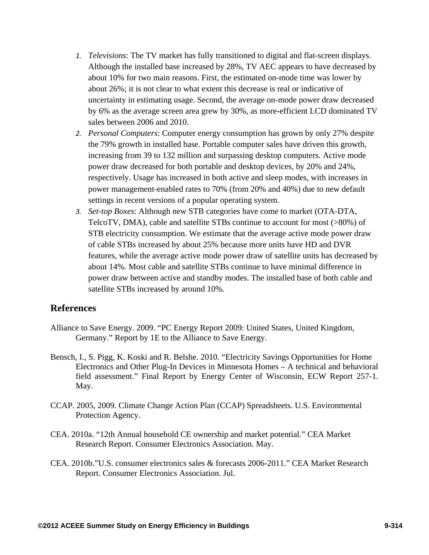- *1. Televisions*: The TV market has fully transitioned to digital and flat-screen displays. Although the installed base increased by 28%, TV AEC appears to have decreased by about 10% for two main reasons. First, the estimated on-mode time was lower by about 26%; it is not clear to what extent this decrease is real or indicative of uncertainty in estimating usage. Second, the average on-mode power draw decreased by 6% as the average screen area grew by 30%, as more-efficient LCD dominated TV sales between 2006 and 2010.
- *2. Personal Computers*: Computer energy consumption has grown by only 27% despite the 79% growth in installed base. Portable computer sales have driven this growth, increasing from 39 to 132 million and surpassing desktop computers. Active mode power draw decreased for both portable and desktop devices, by 20% and 24%, respectively. Usage has increased in both active and sleep modes, with increases in power management-enabled rates to 70% (from 20% and 40%) due to new default settings in recent versions of a popular operating system.
- *3. Set-top Boxes*: Although new STB categories have come to market (OTA-DTA, TelcoTV, DMA), cable and satellite STBs continue to account for most (>80%) of STB electricity consumption. We estimate that the average active mode power draw of cable STBs increased by about 25% because more units have HD and DVR features, while the average active mode power draw of satellite units has decreased by about 14%. Most cable and satellite STBs continue to have minimal difference in power draw between active and standby modes. The installed base of both cable and satellite STBs increased by around 10%.

## **References**

- Alliance to Save Energy. 2009. "PC Energy Report 2009: United States, United Kingdom, Germany." Report by 1E to the Alliance to Save Energy.
- Bensch, I., S. Pigg, K. Koski and R. Belshe. 2010. "Electricity Savings Opportunities for Home Electronics and Other Plug-In Devices in Minnesota Homes – A technical and behavioral field assessment." Final Report by Energy Center of Wisconsin, ECW Report 257-1. May.
- CCAP. 2005, 2009. Climate Change Action Plan (CCAP) Spreadsheets. U.S. Environmental Protection Agency.
- CEA. 2010a. "12th Annual household CE ownership and market potential." CEA Market Research Report. Consumer Electronics Association. May.
- CEA. 2010b."U.S. consumer electronics sales & forecasts 2006-2011." CEA Market Research Report. Consumer Electronics Association. Jul.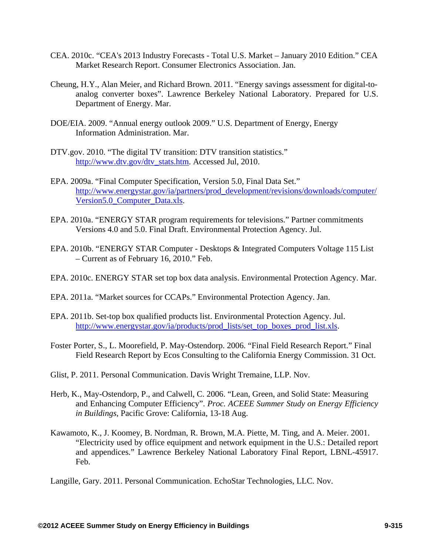- CEA. 2010c. "CEA's 2013 Industry Forecasts Total U.S. Market January 2010 Edition." CEA Market Research Report. Consumer Electronics Association. Jan.
- Cheung, H.Y., Alan Meier, and Richard Brown. 2011. "Energy savings assessment for digital-toanalog converter boxes". Lawrence Berkeley National Laboratory. Prepared for U.S. Department of Energy. Mar.
- DOE/EIA. 2009. "Annual energy outlook 2009." U.S. Department of Energy, Energy Information Administration. Mar.
- DTV.gov. 2010. "The digital TV transition: DTV transition statistics." http://www.dtv.gov/dtv\_stats.htm. Accessed Jul, 2010.
- EPA. 2009a. "Final Computer Specification, Version 5.0, Final Data Set." http://www.energystar.gov/ia/partners/prod\_development/revisions/downloads/computer/ Version5.0\_Computer\_Data.xls.
- EPA. 2010a. "ENERGY STAR program requirements for televisions." Partner commitments Versions 4.0 and 5.0. Final Draft. Environmental Protection Agency. Jul.
- EPA. 2010b. "ENERGY STAR Computer Desktops & Integrated Computers Voltage 115 List – Current as of February 16, 2010." Feb.
- EPA. 2010c. ENERGY STAR set top box data analysis. Environmental Protection Agency. Mar.
- EPA. 2011a. "Market sources for CCAPs." Environmental Protection Agency. Jan.
- EPA. 2011b. Set-top box qualified products list. Environmental Protection Agency. Jul. http://www.energystar.gov/ia/products/prod\_lists/set\_top\_boxes\_prod\_list.xls.
- Foster Porter, S., L. Moorefield, P. May‐Ostendorp. 2006. "Final Field Research Report." Final Field Research Report by Ecos Consulting to the California Energy Commission. 31 Oct.
- Glist, P. 2011. Personal Communication. Davis Wright Tremaine, LLP. Nov.
- Herb, K., May-Ostendorp, P., and Calwell, C. 2006. "Lean, Green, and Solid State: Measuring and Enhancing Computer Efficiency". *Proc. ACEEE Summer Study on Energy Efficiency in Buildings*, Pacific Grove: California, 13-18 Aug.
- Kawamoto, K., J. Koomey, B. Nordman, R. Brown, M.A. Piette, M. Ting, and A. Meier. 2001. "Electricity used by office equipment and network equipment in the U.S.: Detailed report and appendices." Lawrence Berkeley National Laboratory Final Report, LBNL-45917. Feb.

Langille, Gary. 2011. Personal Communication. EchoStar Technologies, LLC. Nov.